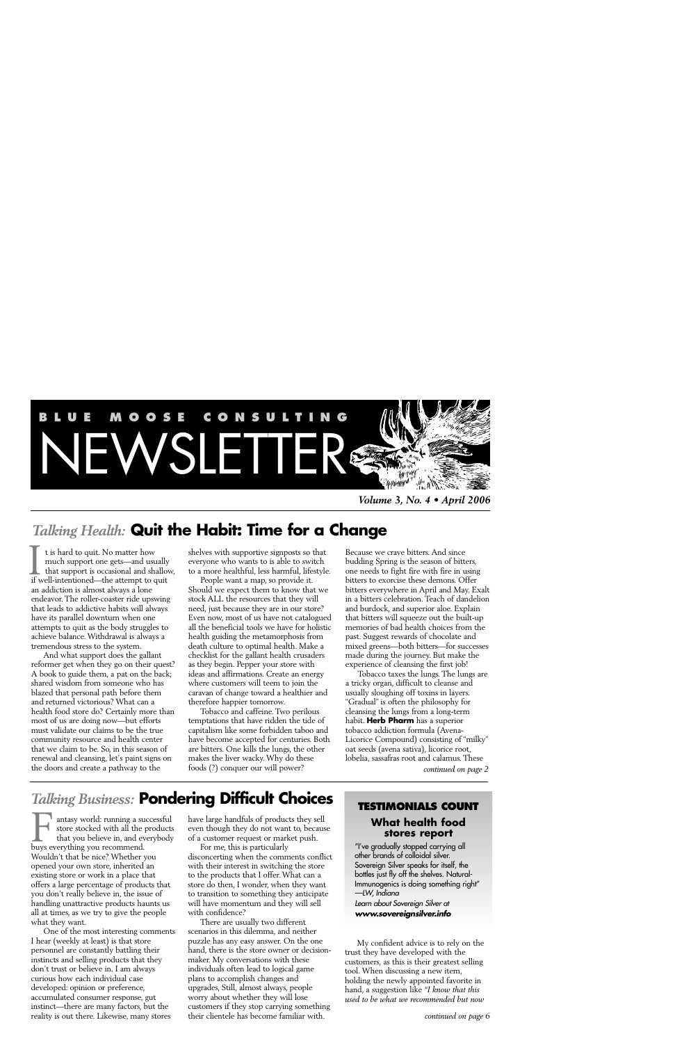

*Volume 3, No. 4 • April 2006*

# *Talking Health:* **Quit the Habit: Time for a Change**

t is hard to quit. No matter how much support one gets—and usually that support is occasional and shallow, It is hard to quit. No matter how<br>much support one gets—and usually<br>that support is occasional and shallo<br>if well-intentioned—the attempt to quit an addiction is almost always a lone endeavor. The roller-coaster ride upswing that leads to addictive habits will always have its parallel downturn when one attempts to quit as the body struggles to achieve balance. Withdrawal is always a tremendous stress to the system.

And what support does the gallant reformer get when they go on their quest? A book to guide them, a pat on the back; shared wisdom from someone who has blazed that personal path before them and returned victorious? What can a health food store do? Certainly more than most of us are doing now—but efforts must validate our claims to be the true community resource and health center that we claim to be. So, in this season of renewal and cleansing, let's paint signs on the doors and create a pathway to the

shelves with supportive signposts so that everyone who wants to is able to switch to a more healthful, less harmful, lifestyle.

People want a map, so provide it. Should we expect them to know that we stock ALL the resources that they will need, just because they are in our store? Even now, most of us have not catalogued all the beneficial tools we have for holistic health guiding the metamorphosis from death culture to optimal health. Make a checklist for the gallant health crusaders as they begin. Pepper your store with ideas and affirmations. Create an energy where customers will teem to join the caravan of change toward a healthier and therefore happier tomorrow.

Tobacco and caffeine. Two perilous temptations that have ridden the tide of capitalism like some forbidden taboo and have become accepted for centuries. Both are bitters. One kills the lungs, the other makes the liver wacky. Why do these foods (?) conquer our will power?

Because we crave bitters. And since budding Spring is the season of bitters, one needs to fight fire with fire in using bitters to exorcise these demons. Offer bitters everywhere in April and May. Exalt in a bitters celebration. Teach of dandelion and burdock, and superior aloe. Explain that bitters will squeeze out the built-up memories of bad health choices from the past. Suggest rewards of chocolate and mixed greens—both bitters—for successes made during the journey. But make the experience of cleansing the first job!

Tobacco taxes the lungs. The lungs are a tricky organ, difficult to cleanse and usually sloughing off toxins in layers. "Gradual" is often the philosophy for cleansing the lungs from a long-term habit. **Herb Pharm** has a superior tobacco addiction formula (Avena-Licorice Compound) consisting of "milky" oat seeds (avena sativa), licorice root, lobelia, sassafras root and calamus. These

*continued on page 2*

# *Talking Business:* **Pondering Difficult Choices**

antasy world: running a successful store stocked with all the products that you believe in, and everybody antasy world: running a su<br>store stocked with all the<br>that you believe in, and ev<br>buys everything you recommend. Wouldn't that be nice? Whether you opened your own store, inherited an existing store or work in a place that offers a large percentage of products that you don't really believe in, the issue of handling unattractive products haunts us all at times, as we try to give the people what they want.

One of the most interesting comments I hear (weekly at least) is that store personnel are constantly battling their instincts and selling products that they don't trust or believe in. I am always curious how each individual case developed: opinion or preference, accumulated consumer response, gut instinct—there are many factors, but the reality is out there. Likewise, many stores

have large handfuls of products they sell even though they do not want to, because of a customer request or market push.

For me, this is particularly disconcerting when the comments conflict with their interest in switching the store to the products that I offer. What can a store do then, I wonder, when they want to transition to something they anticipate will have momentum and they will sell with confidence?

There are usually two different scenarios in this dilemma, and neither puzzle has any easy answer. On the one hand, there is the store owner or decisionmaker. My conversations with these individuals often lead to logical game plans to accomplish changes and upgrades, Still, almost always, people worry about whether they will lose customers if they stop carrying something their clientele has become familiar with.

# **TESTIMONIALS COUNT**

## **What health food stores report**

"I've gradually stopped carrying all other brands of colloidal silver. Sovereign Silver speaks for itself, the bottles just fly off the shelves. Natural-Immunogenics is doing something right" *—LW, Indiana*

*Learn about Sovereign Silver at www.sovereignsilver.info*

My confident advice is to rely on the trust they have developed with the customers, as this is their greatest selling tool. When discussing a new item, holding the newly appointed favorite in hand, a suggestion like *"I know that this used to be what we recommended but now*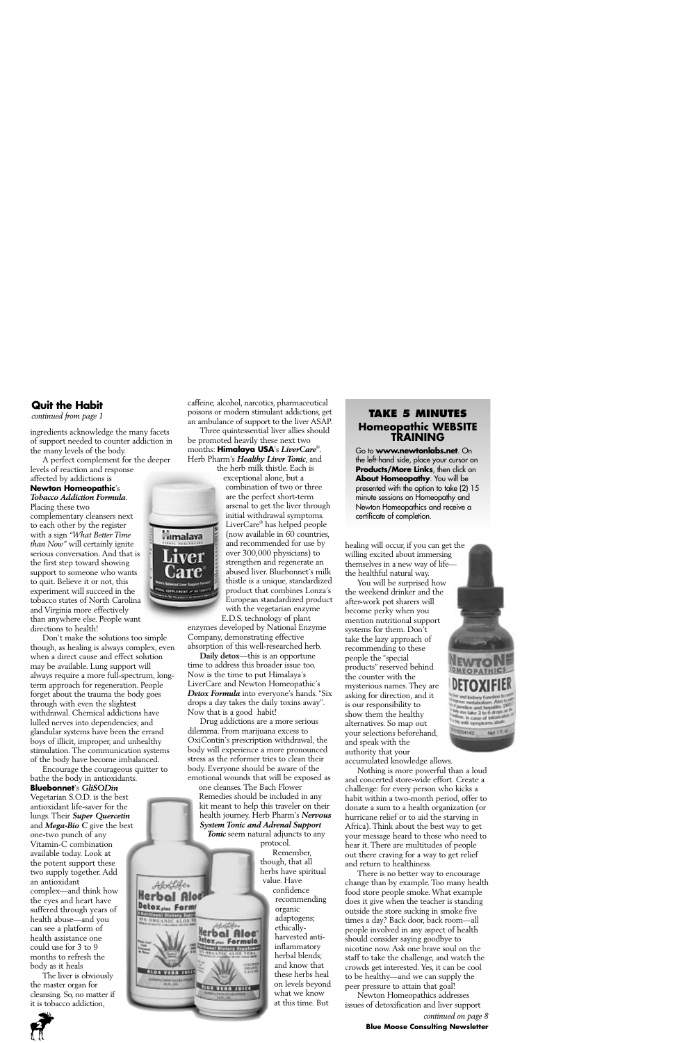## **Quit the Habit**

*continued from page 1*

ingredients acknowledge the many facets of support needed to counter addiction in the many levels of the body.

A perfect complement for the deeper levels of reaction and response

#### affected by addictions is **Newton Homeopathic**'s *Tobacco Addiction Formula*.

Placing these two

complementary cleansers next to each other by the register with a sign *"What Better Time than Now"* will certainly ignite serious conversation. And that is the first step toward showing support to someone who wants to quit. Believe it or not, this experiment will succeed in the tobacco states of North Carolina and Virginia more effectively than anywhere else. People want directions to health!

Don't make the solutions too simple though, as healing is always complex, even when a direct cause and effect solution may be available. Lung support will always require a more full-spectrum, longterm approach for regeneration. People forget about the trauma the body goes through with even the slightest withdrawal. Chemical addictions have lulled nerves into dependencies; and glandular systems have been the errand boys of illicit, improper, and unhealthy stimulation. The communication systems of the body have become imbalanced.

Encourage the courageous quitter to bathe the body in antioxidants.

#### **Bluebonnet**'s *GliSODin*

Vegetarian S.O.D. is the best antioxidant life-saver for the lungs. Their *Super Quercetin* and *Mega-Bio C* give the best one-two punch of any Vitamin-C combination available today. Look at the potent support these two supply together. Add an antioxidant complex—and think how the eyes and heart have suffered through years of health abuse—and you can see a platform of health assistance one could use for 3 to 9 months to refresh the body as it heals

The liver is obviously the master organ for cleansing. So, no matter if it is tobacco addiction,



Three quintessential liver allies should be promoted heavily these next two months: **Himalaya USA**'s *LiverCare®* . Herb Pharm's *Healthy Liver Tonic*, and

the herb milk thistle. Each is

exceptional alone, but a combination of two or three are the perfect short-term arsenal to get the liver through initial withdrawal symptoms. LiverCare® has helped people (now available in 60 countries, and recommended for use by over 300,000 physicians) to strengthen and regenerate an abused liver. Bluebonnet's milk thistle is a unique, standardized product that combines Lonza's European standardized product with the vegetarian enzyme

**Fimalaya** 

**Services of M** 

E.D.S. technology of plant enzymes developed by National Enzyme Company, demonstrating effective absorption of this well-researched herb.

**Daily detox**—this is an opportune time to address this broader issue too. Now is the time to put Himalaya's LiverCare and Newton Homeopathic's *Detox Formula* into everyone's hands. "Six drops a day takes the daily toxins away". Now that is a good habit!

Drug addictions are a more serious dilemma. From marijuana excess to OxiContin's prescription withdrawal, the body will experience a more pronounced stress as the reformer tries to clean their body. Everyone should be aware of the emotional wounds that will be exposed as

one cleanses. The Bach Flower Remedies should be included in any kit meant to help this traveler on their health journey. Herb Pharm's *Nervous System Tonic and Adrenal Support*

*Tonic* seem natural adjuncts to any protocol.



Remember, though, that all herbs have spiritual value. Have confidence recommending organic adaptogens; ethicallyharvested antiinflammatory herbal blends; and know that these herbs heal on levels beyond what we know at this time. But

## **TAKE 5 MINUTES Homeopathic WEBSITE TRAINING**

Go to **www.newtonlabs.net**. On the left-hand side, place your cursor on **Products/More Links**, then click on **About Homeopathy**. You will be presented with the option to take (2) 15 minute sessions on Homeopathy and Newton Homeopathics and receive a certificate of completion.

healing will occur, if you can get the willing excited about immersing themselves in a new way of life the healthful natural way.

You will be surprised how the weekend drinker and the after-work pot sharers will become perky when you mention nutritional support systems for them. Don't take the lazy approach of recommending to these people the "special products" reserved behind the counter with the mysterious names. They are asking for direction, and it is our responsibility to show them the healthy alternatives. So map out your selections beforehand, and speak with the authority that your accumulated knowledge allows.

Nothing is more powerful than a loud and concerted store-wide effort. Create a challenge: for every person who kicks a habit within a two-month period, offer to donate a sum to a health organization (or hurricane relief or to aid the starving in Africa). Think about the best way to get your message heard to those who need to hear it. There are multitudes of people out there craving for a way to get relief and return to healthiness.

dice and hepatititi<br>• lake 3 to 6 drops line, in case of intox<br><sup>by</sup> intil symptoms at

**COLLEG** 

on adult

Not 11L4

There is no better way to encourage change than by example. Too many health food store people smoke. What example does it give when the teacher is standing outside the store sucking in smoke five times a day? Back door, back room—all people involved in any aspect of health should consider saying goodbye to nicotine now. Ask one brave soul on the staff to take the challenge, and watch the crowds get interested. Yes, it can be cool to be healthy—and we can supply the peer pressure to attain that goal!

Newton Homeopathics addresses issues of detoxification and liver support *continued on page 8*

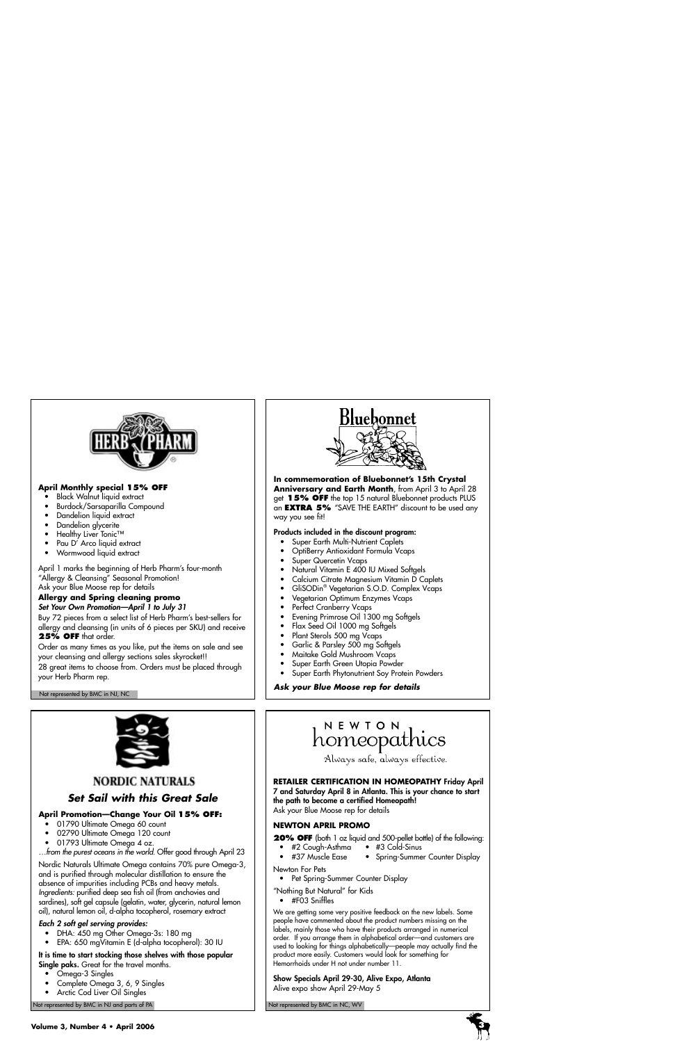

## **April Monthly special 15% OFF**

- Black Walnut liquid extract
- Burdock/Sarsaparilla Compound
- Dandelion liquid extract
- Dandelion glycerite
- Healthy Liver Tonic™
- Pau D' Arco liquid extract
- Wormwood liquid extract

April 1 marks the beginning of Herb Pharm's four-month "Allergy & Cleansing" Seasonal Promotion! Ask your Blue Moose rep for details

#### **Allergy and Spring cleaning promo** *Set Your Own Promotion—April 1 to July 31*

Buy 72 pieces from a select list of Herb Pharm's best-sellers for allergy and cleansing (in units of 6 pieces per SKU) and receive **25% OFF** that order.

Order as many times as you like, put the items on sale and see your cleansing and allergy sections sales skyrocket!!

28 great items to choose from. Orders must be placed through your Herb Pharm rep.

Not represented by BMC in NJ, NC



**In commemoration of Bluebonnet's 15th Crystal Anniversary and Earth Month**, from April 3 to April 28 get **15% OFF** the top 15 natural Bluebonnet products PLUS an **EXTRA 5%** "SAVE THE EARTH" discount to be used any way you see fit!

#### **Products included in the discount program:**

- Super Earth Multi-Nutrient Caplets
- OptiBerry Antioxidant Formula Vcaps
- Super Quercetin Vcaps
- Natural Vitamin E 400 IU Mixed Softgels
- Calcium Citrate Magnesium Vitamin D Caplets
- GliSODin® Vegetarian S.O.D. Complex Vcaps
- Vegetarian Optimum Enzymes Vcaps
- Perfect Cranberry Vcaps
- Evening Primrose Oil 1300 mg Softgels
- Flax Seed Oil 1000 mg Softgels
- Plant Sterols 500 mg Vcaps
- Garlic & Parsley 500 mg Softgels
- Maitake Gold Mushroom Vcaps
- Super Earth Green Utopia Powder
- Super Earth Phytonutrient Soy Protein Powders

*Ask your Blue Moose rep for details*



## **NORDIC NATURALS**

## *Set Sail with this Great Sale*

## **April Promotion—Change Your Oil 15% OFF:**

- 01790 Ultimate Omega 60 count
- 02790 Ultimate Omega 120 count
- 01793 Ultimate Omega 4 oz.

*…from the purest oceans in the world.* Offer good through April 23

Nordic Naturals Ultimate Omega contains 70% pure Omega-3, and is purified through molecular distillation to ensure the absence of impurities including PCBs and heavy metals. *Ingredients:* purified deep sea fish oil (from anchovies and sardines), soft gel capsule (gelatin, water, glycerin, natural lemon oil), natural lemon oil, d-alpha tocopherol, rosemary extract

## *Each 2 soft gel serving provides:*

- DHA: 450 mg Other Omega-3s: 180 mg
- EPA: 650 mgVitamin E (d-alpha tocopherol): 30 IU

**It is time to start stocking those shelves with those popular Single paks.** Great for the travel months.

- Omega-3 Singles
- Complete Omega 3, 6, 9 Singles
- Arctic Cod Liver Oil Singles

Not represented by BMC in NJ and parts of PA Not represented by BMC in NC, WV Not represented by BMC in NC, WV

# NEWTON homeopathics

Always safe, always effective.

#### **RETAILER CERTIFICATION IN HOMEOPATHY Friday April 7 and Saturday April 8 in Atlanta. This is your chance to start**

**the path to become a certified Homeopath!** Ask your Blue Moose rep for details

**NEWTON APRIL PROMO**

**20% OFF** (both 1 oz liquid and 500-pellet bottle) of the following:

- #2 Cough-Asthma #3 Cold-Sinus
- - Spring-Summer Counter Display
- Newton For Pets
	- Pet Spring-Summer Counter Display

"Nothing But Natural" for Kids

• #F03 Sniffles

We are getting some very positive feedback on the new labels. Some people have commented about the product numbers missing on the labels, mainly those who have their products arranged in numerical order. If you arrange them in alphabetical order—and customers are used to looking for things alphabetically—people may actually find the product more easily. Customers would look for something for Hemorrhoids under H not under number 11.

**Show Specials April 29-30, Alive Expo, Atlanta** Alive expo show April 29-May 5



- 
- 
- -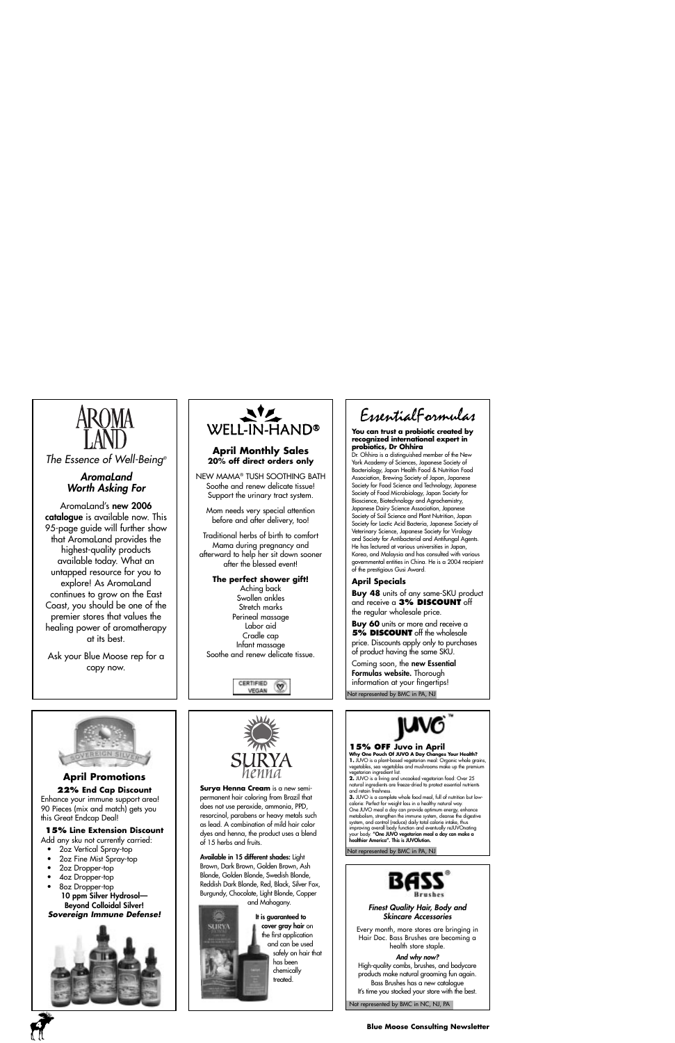

*The Essence of Well-Being®*

## *AromaLand Worth Asking For*

AromaLand's **new 2006 catalogue** is available now. This 95-page guide will further show that AromaLand provides the highest-quality products available today. What an untapped resource for you to explore! As AromaLand continues to grow on the East Coast, you should be one of the premier stores that values the healing power of aromatherapy at its best.

Ask your Blue Moose rep for a copy now.



## **April Monthly Sales 20% off direct orders only**

NEW MAMA® TUSH SOOTHING BATH Soothe and renew delicate tissue! Support the urinary tract system.

Mom needs very special attention before and after delivery, too!

Traditional herbs of birth to comfort Mama during pregnancy and afterward to help her sit down sooner after the blessed event!

#### **The perfect shower gift!**

Aching back Swollen ankles Stretch marks Perineal massage Labor aid Cradle cap Infant massage Soothe and renew delicate tissue.

> CERTIFIED VEGAN

EssentialFormulas

#### **You can trust a probiotic created by recognized international expert in probiotics, Dr Ohhira**

Dr. Ohhira is a distinguished member of the New York Academy of Sciences, Japanese Society of Bacteriology, Japan Health Food & Nutrition Food Association, Brewing Society of Japan, Japanese Society for Food Science and Technology, Japanese Society of Food Microbiology, Japan Society for Bioscience, Biotechnology and Agrochemistry, Japanese Dairy Science Association, Japanese Society of Soil Science and Plant Nutrition, Japan Society for Lactic Acid Bacteria, Japanese Society of Veterinary Science, Japanese Society for Virology and Society for Antibacterial and Antifungal Agents. He has lectured at various universities in Japan, Korea, and Malaysia and has consulted with various governmental entities in China. He is a 2004 recipient of the prestigious Gusi Award.

## **April Specials**

**Buy 48** units of any same-SKU product and receive a **3% DISCOUNT** off the regular wholesale price.

**Buy 60** units or more and receive a **5% DISCOUNT** off the wholesale price. Discounts apply only to purchases of product having the same SKU.

Coming soon, the **new Essential Formulas website.** Thorough information at your fingertips! Not represented by BMC in PA, NJ



## **April Promotions**

**22% End Cap Discount** Enhance your immune support area! 90 Pieces (mix and match) gets you this Great Endcap Deal!

#### **15% Line Extension Discount**

- Add any sku not currently carried:
	- 2oz Vertical Spray-top
	- 2oz Fine Mist Spray-top
	- 2oz Dropper-top
	- 4oz Dropper-top
	- 8oz Dropper-top **10 ppm Silver Hydrosol— Beyond Colloidal Silver!** *Sovereign Immune Defense!*





**Surya Henna Cream** is a new semipermanent hair coloring from Brazil that does not use peroxide, ammonia, PPD, resorcinol, parabens or heavy metals such as lead. A combination of mild hair color dyes and henna, the product uses a blend of 15 herbs and fruits.

**Available in 15 different shades:** Light Brown, Dark Brown, Golden Brown, Ash Blonde, Golden Blonde, Swedish Blonde, Reddish Dark Blonde, Red, Black, Silver Fox, Burgundy, Chocolate, Light Blonde, Copper and Mahogany.



**It is guaranteed to cover gray hair** on the first application and can be used safely on hair that has been chemically treated.



#### **15% OFF Juvo in April**

**Why One Pouch Of JUVO A Day Changes Your Health?<br>1. JUVO is a plant-based vegetarian meal: Organic whole grains,<br>vegetables, sea vegetables and mushrooms make up the premium** vegetarian ingredient list.

**2.** JUVO is a living and uncooked vegetarian food: Over 25 natural ingredients are freeze-dried to protect essential nutrients and retain freshness.

**3.** JUVO is a complete whole food meal, full of nutrition but lowcalorie: Perfect for weight loss in a healthy natural way. One JUVO meal a day can provide optimum energy, enhance metabolism, strengthen the immune system, cleanse the digestive system, and control (reduce) daily total calorie intake, thus improving overall body function and eventually reJUVOnating your body. **"One JUVO vegetarian meal a day can make a healthier America". This is JUVOlution.** 

Not represented by BMC in PA, NJ



#### *Finest Quality Hair, Body and Skincare Accessories*

Every month, more stores are bringing in Hair Doc. Bass Brushes are becoming a health store staple.

*And why now?*

High-quality combs, brushes, and bodycare products make natural grooming fun again. Bass Brushes has a new catalogue It's time you stocked your store with the best.

Not represented by BMC in NC, NJ, PA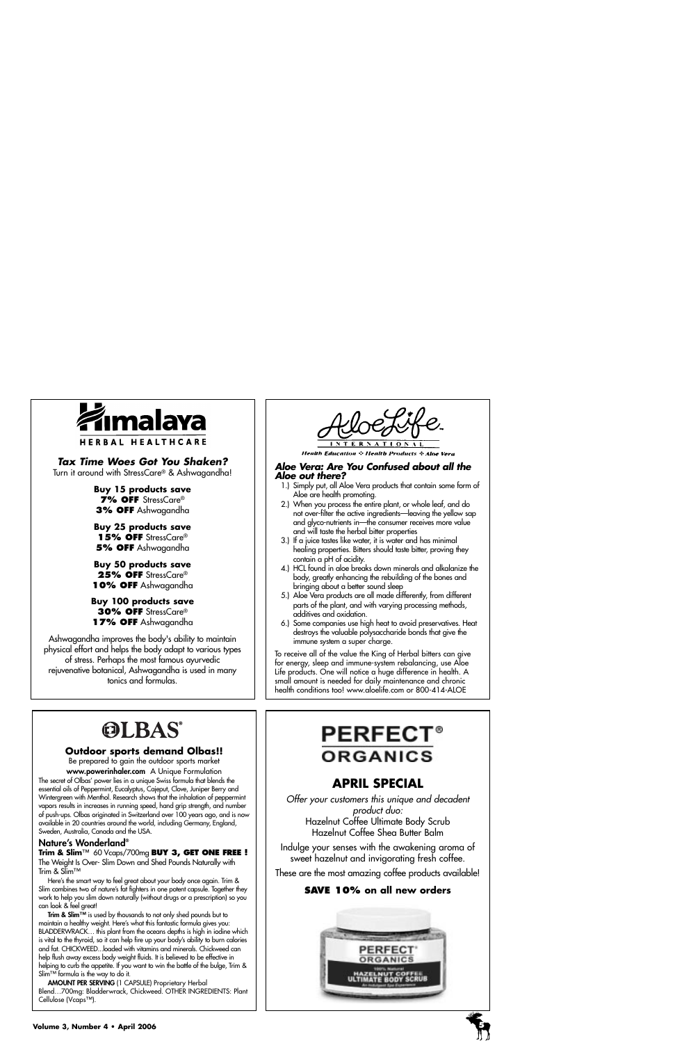

## *Tax Time Woes Got You Shaken?*

Turn it around with StressCare® & Ashwagandha!

**Buy 15 products save 7% OFF** StressCare® **3% OFF** Ashwagandha

**Buy 25 products save** 15% OFF StressCare® **5% OFF** Ashwagandha

**Buy 50 products save** 25% OFF StressCare® **10% OFF** Ashwagandha

**Buy 100 products save 30% OFF** StressCare® **17% OFF** Ashwagandha

Ashwagandha improves the body's ability to maintain physical effort and helps the body adapt to various types of stress. Perhaps the most famous ayurvedic rejuvenative botanical, Ashwagandha is used in many tonics and formulas.

**Health Education & Health Products & Aloe Vera** 

#### *Aloe Vera: Are You Confused about all the Aloe out there?*

- 1.) Simply put, all Aloe Vera products that contain some form of Aloe are health promoting.
- 2.) When you process the entire plant, or whole leaf, and do not over-filter the active ingredients—leaving the yellow sap and glyco-nutrients in—the consumer receives more value and will taste the herbal bitter properties
- 3.) If a juice tastes like water, it is water and has minimal healing properties. Bitters should taste bitter, proving they contain a pH of acidity.
- 4.) HCL found in aloe breaks down minerals and alkalanize the body, greatly enhancing the rebuilding of the bones and bringing about a better sound sleep
- 5.) Aloe Vera products are all made differently, from different parts of the plant, and with varying processing methods, additives and oxidation.
- 6.) Some companies use high heat to avoid preservatives. Heat destroys the valuable polysaccharide bonds that give the immune system a super charge.

To receive all of the value the King of Herbal bitters can give for energy, sleep and immune-system rebalancing, use Aloe Life products. One will notice a huge difference in health. A small amount is needed for daily maintenance and chronic health conditions too! www.aloelife.com or 800-414-ALOE

# **OLBAS®**

## **Outdoor sports demand Olbas!!**

Be prepared to gain the outdoor sports market

**www.powerinhaler.com** A Unique Formulation The secret of Olbas' power lies in a unique Swiss formula that blends the essential oils of Peppermint, Eucalyptus, Cajeput, Clove, Juniper Berry and Wintergreen with Menthol. Research shows that the inhalation of peppermint vapors results in increases in running speed, hand grip strength, and number of push-ups. Olbas originated in Switzerland over 100 years ago, and is now available in 20 countries around the world, including Germany, England, Sweden, Australia, Canada and the USA.

## **Nature's Wonderland®**

**Trim & Slim**™ 60 Vcaps/700mg **BUY 3, GET ONE FREE !**  The Weight Is Over- Slim Down and Shed Pounds Naturally with Trim & Slim™

Here's the smart way to feel great about your body once again. Trim & Slim combines two of nature's fat fighters in one potent capsule. Together they work to help you slim down naturally (without drugs or a prescription) so you can look & feel great!

**Trim & Slim™** is used by thousands to not only shed pounds but to maintain a healthy weight. Here's what this fantastic formula gives you: BLADDERWRACK... this plant from the oceans depths is high in iodine which is vital to the thyroid, so it can help fire up your body's ability to burn calories and fat. CHICKWEED...loaded with vitamins and minerals. Chickweed can help flush away excess body weight fluids. It is believed to be effective in helping to curb the appetite. If you want to win the battle of the bulge, Trim & Slim™ formula is the way to do it.

**AMOUNT PER SERVING** (1 CAPSULE) Proprietary Herbal Blend…700mg: Bladderwrack, Chickweed. OTHER INGREDIENTS: Plant Cellulose (Vcaps™).

# **PERFECT® ORGANICS**

# **APRIL SPECIAL**

*Offer your customers this unique and decadent product duo:*  Hazelnut Coffee Ultimate Body Scrub Hazelnut Coffee Shea Butter Balm

Indulge your senses with the awakening aroma of sweet hazelnut and invigorating fresh coffee.

These are the most amazing coffee products available!

## **SAVE 10% on all new orders**



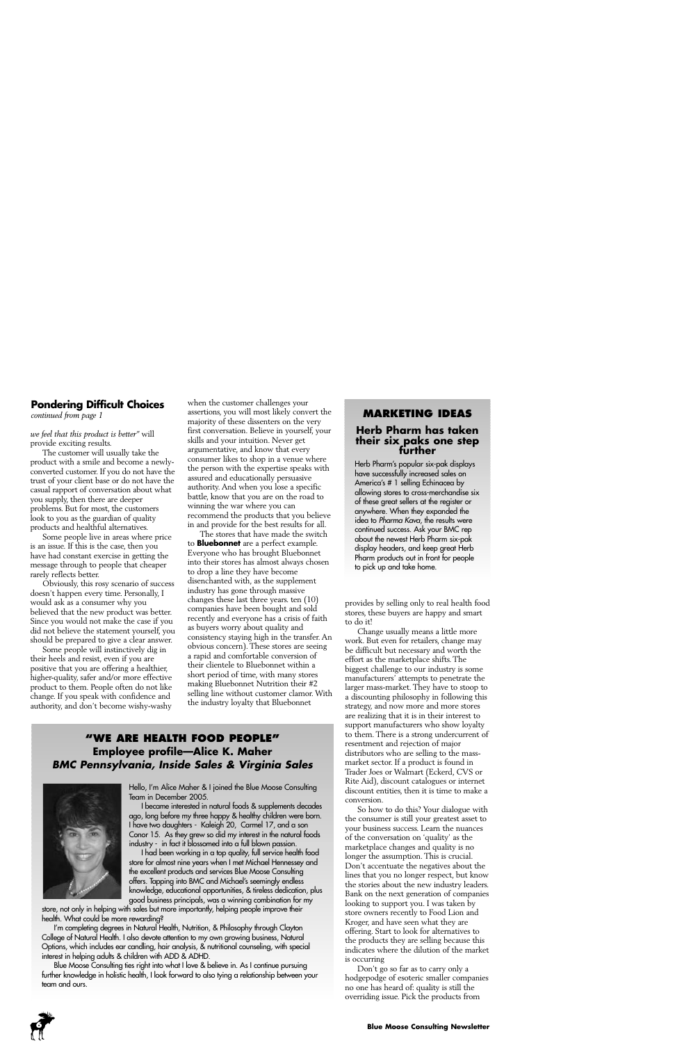# **Pondering Difficult Choices**

*we feel that this product is better"* will provide exciting results.

The customer will usually take the product with a smile and become a newlyconverted customer. If you do not have the trust of your client base or do not have the casual rapport of conversation about what you supply, then there are deeper problems. But for most, the customers look to you as the guardian of quality products and healthful alternatives.

Some people live in areas where price is an issue. If this is the case, then you have had constant exercise in getting the message through to people that cheaper rarely reflects better.

Obviously, this rosy scenario of success doesn't happen every time. Personally, I would ask as a consumer why you believed that the new product was better. Since you would not make the case if you did not believe the statement yourself, you should be prepared to give a clear answer.

Some people will instinctively dig in their heels and resist, even if you are positive that you are offering a healthier, higher-quality, safer and/or more effective product to them. People often do not like change. If you speak with confidence and authority, and don't become wishy-washy

when the customer challenges your assertions, you will most likely convert the majority of these dissenters on the very first conversation. Believe in yourself, your skills and your intuition. Never get argumentative, and know that every consumer likes to shop in a venue where the person with the expertise speaks with assured and educationally persuasive authority. And when you lose a specific battle, know that you are on the road to winning the war where you can recommend the products that you believe in and provide for the best results for all.

The stores that have made the switch to **Bluebonnet** are a perfect example. Everyone who has brought Bluebonnet into their stores has almost always chosen to drop a line they have become disenchanted with, as the supplement industry has gone through massive changes these last three years. ten (10) companies have been bought and sold recently and everyone has a crisis of faith as buyers worry about quality and consistency staying high in the transfer. An obvious concern). These stores are seeing a rapid and comfortable conversion of their clientele to Bluebonnet within a short period of time, with many stores making Bluebonnet Nutrition their #2 selling line without customer clamor. With the industry loyalty that Bluebonnet

## **"WE ARE HEALTH FOOD PEOPLE" Employee profile—Alice K. Maher** *BMC Pennsylvania, Inside Sales & Virginia Sales*



Hello, I'm Alice Maher & I joined the Blue Moose Consulting Team in December 2005.

I became interested in natural foods & supplements decades ago, long before my three happy & healthy children were born. I have two daughters - Kaleigh 20, Carmel 17, and a son Conor 15. As they grew so did my interest in the natural foods industry - in fact it blossomed into a full blown passion.

I had been working in a top quality, full service health food store for almost nine years when I met Michael Hennessey and the excellent products and services Blue Moose Consulting offers. Tapping into BMC and Michael's seemingly endless knowledge, educational opportunities, & tireless dedication, plus good business principals, was a winning combination for my

store, not only in helping with sales but more importantly, helping people improve their health. What could be more rewarding?

I'm completing degrees in Natural Health, Nutrition, & Philosophy through Clayton College of Natural Health. I also devote attention to my own growing business, Natural Options, which includes ear candling, hair analysis, & nutritional counseling, with special interest in helping adults & children with ADD & ADHD.

Blue Moose Consulting ties right into what I love & believe in. As I continue pursuing further knowledge in holistic health, I look forward to also tying a relationship between your team and ours.

# *continued from page 1* **MARKETING IDEAS Herb Pharm has taken their six paks one step further**

Herb Pharm's popular six-pak displays have successfully increased sales on America's # 1 selling Echinacea by allowing stores to cross-merchandise six of these great sellers at the register or anywhere. When they expanded the idea to *Pharma Kava*, the results were continued success. Ask your BMC rep about the newest Herb Pharm six-pak display headers, and keep great Herb Pharm products out in front for people to pick up and take home.

provides by selling only to real health food stores, these buyers are happy and smart to do it!

Change usually means a little more work. But even for retailers, change may be difficult but necessary and worth the effort as the marketplace shifts. The biggest challenge to our industry is some manufacturers' attempts to penetrate the larger mass-market. They have to stoop to a discounting philosophy in following this strategy, and now more and more stores are realizing that it is in their interest to support manufacturers who show loyalty to them. There is a strong undercurrent of resentment and rejection of major distributors who are selling to the massmarket sector. If a product is found in Trader Joes or Walmart (Eckerd, CVS or Rite Aid), discount catalogues or internet discount entities, then it is time to make a conversion.

So how to do this? Your dialogue with the consumer is still your greatest asset to your business success. Learn the nuances of the conversation on 'quality' as the marketplace changes and quality is no longer the assumption. This is crucial. Don't accentuate the negatives about the lines that you no longer respect, but know the stories about the new industry leaders. Bank on the next generation of companies looking to support you. I was taken by store owners recently to Food Lion and Kroger, and have seen what they are offering. Start to look for alternatives to the products they are selling because this indicates where the dilution of the market is occurring

Don't go so far as to carry only a hodgepodge of esoteric smaller companies no one has heard of: quality is still the overriding issue. Pick the products from

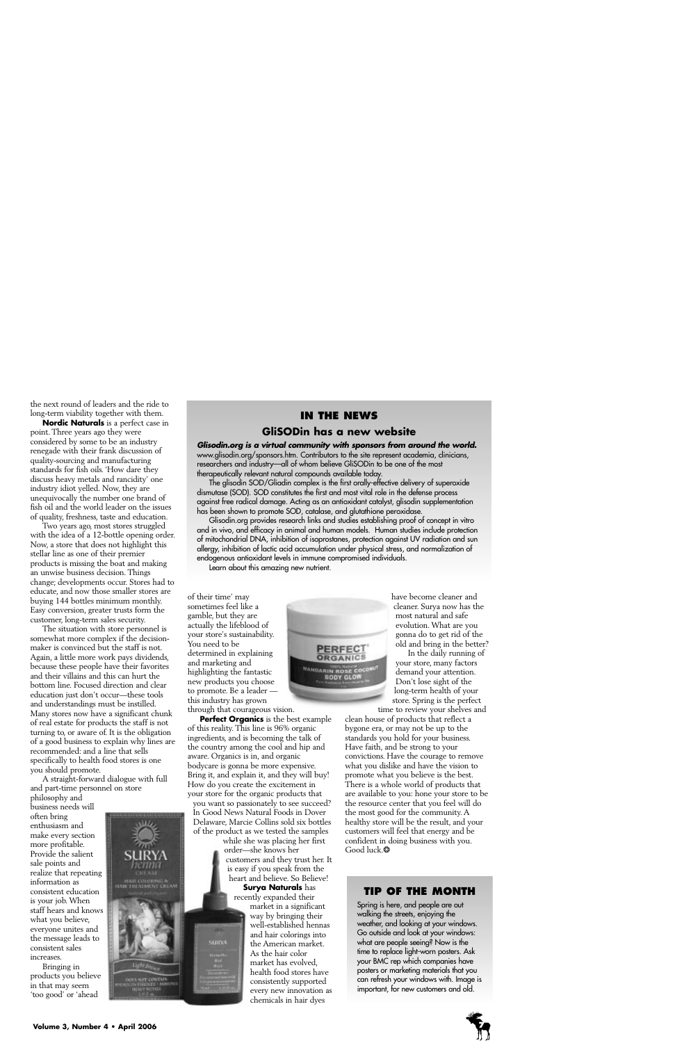the next round of leaders and the ride to long-term viability together with them.

**Nordic Naturals** is a perfect case in point. Three years ago they were considered by some to be an industry renegade with their frank discussion of quality-sourcing and manufacturing standards for fish oils. 'How dare they discuss heavy metals and rancidity' one industry idiot yelled. Now, they are unequivocally the number one brand of fish oil and the world leader on the issues of quality, freshness, taste and education.

Two years ago, most stores struggled with the idea of a 12-bottle opening order. Now, a store that does not highlight this stellar line as one of their premier products is missing the boat and making an unwise business decision. Things change; developments occur. Stores had to educate, and now those smaller stores are buying 144 bottles minimum monthly. Easy conversion, greater trusts form the customer, long-term sales security.

The situation with store personnel is somewhat more complex if the decisionmaker is convinced but the staff is not. Again, a little more work pays dividends, because these people have their favorites and their villains and this can hurt the bottom line. Focused direction and clear education just don't occur—these tools and understandings must be instilled. Many stores now have a significant chunk of real estate for products the staff is not turning to, or aware of. It is the obligation of a good business to explain why lines are recommended: and a line that sells specifically to health food stores is one you should promote.

A straight-forward dialogue with full and part-time personnel on store

philosophy and business needs will often bring enthusiasm and make every section more profitable. Provide the salient sale points and realize that repeating information as consistent education is your job. When staff hears and knows what you believe, everyone unites and the message leads to consistent sales increases.

Bringing in products you believe in that may seem 'too good' or 'ahead

## **IN THE NEWS**

## **GliSODin has a new website**

*Glisodin.org is a virtual community with sponsors from around the world.* www.glisodin.org/sponsors.htm. Contributors to the site represent academia, clinicians, researchers and industry—all of whom believe GliSODin to be one of the most therapeutically relevant natural compounds available today.

The glisodin SOD/Gliadin complex is the first orally-effective delivery of superoxide dismutase (SOD). SOD constitutes the first and most vital role in the defense process against free radical damage. Acting as an antioxidant catalyst, glisodin supplementation has been shown to promote SOD, catalase, and glutathione peroxidase.

Glisodin.org provides research links and studies establishing proof of concept in vitro and in vivo, and efficacy in animal and human models. Human studies include protection of mitochondrial DNA, inhibition of isoprostanes, protection against UV radiation and sun allergy, inhibition of lactic acid accumulation under physical stress, and normalization of endogenous antioxidant levels in immune compromised individuals.

Learn about this amazing new nutrient.

of their time' may sometimes feel like a gamble, but they are actually the lifeblood of your store's sustainability. You need to be determined in explaining and marketing and highlighting the fantastic new products you choose to promote. Be a leader this industry has grown through that courageous vision.

**Perfect Organics** is the best example of this reality. This line is 96% organic ingredients, and is becoming the talk of the country among the cool and hip and aware. Organics is in, and organic bodycare is gonna be more expensive. Bring it, and explain it, and they will buy! How do you create the excitement in your store for the organic products that

you want so passionately to see succeed? In Good News Natural Foods in Dover Delaware, Marcie Collins sold six bottles of the product as we tested the samples

**SURNA** 

while she was placing her first order—she knows her customers and they trust her. It is easy if you speak from the heart and believe. So Believe! **Surya Naturals** has

recently expanded their market in a significant way by bringing their well-established hennas and hair colorings into the American market. As the hair color market has evolved, health food stores have consistently supported every new innovation as chemicals in hair dyes



have become cleaner and cleaner. Surya now has the most natural and safe evolution. What are you gonna do to get rid of the old and bring in the better?

In the daily running of your store, many factors demand your attention. Don't lose sight of the long-term health of your store. Spring is the perfect time to review your shelves and

clean house of products that reflect a bygone era, or may not be up to the standards you hold for your business. Have faith, and be strong to your convictions. Have the courage to remove what you dislike and have the vision to promote what you believe is the best. There is a whole world of products that are available to you: hone your store to be the resource center that you feel will do the most good for the community. A healthy store will be the result, and your customers will feel that energy and be confident in doing business with you. Good luck.❂

## **TIP OF THE MONTH**

Spring is here, and people are out walking the streets, enjoying the weather, and looking at your windows. Go outside and look at your windows: what are people seeing? Now is the time to replace light-worn posters. Ask your BMC rep which companies have posters or marketing materials that you can refresh your windows with. Image is important, for new customers and old.